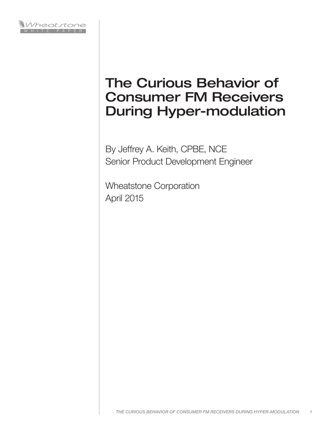

# The Curious Behavior of Consumer FM Receivers During Hyper-modulation

By Jeffrey A. Keith, CPBE, NCE Senior Product Development Engineer

Wheatstone Corporation April 2015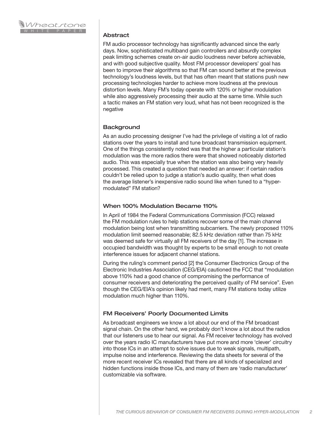

#### Abstract

FM audio processor technology has significantly advanced since the early days. Now, sophisticated multiband gain controllers and absurdly complex peak limiting schemes create on-air audio loudness never before achievable, and with good subjective quality. Most FM processor developers' goal has been to improve their algorithms so that FM can sound better at the previous technology's loudness levels, but that has often meant that stations push new processing technologies harder to achieve more loudness at the previous distortion levels. Many FM's today operate with 120% or higher modulation while also aggressively processing their audio at the same time. While such a tactic makes an FM station very loud, what has not been recognized is the negative

## **Background**

As an audio processing designer I've had the privilege of visiting a lot of radio stations over the years to install and tune broadcast transmission equipment. One of the things consistently noted was that the higher a particular station's modulation was the more radios there were that showed noticeably distorted audio. This was especially true when the station was also being very heavily processed. This created a question that needed an answer: if certain radios couldn't be relied upon to judge a station's audio quality, then what does the average listener's inexpensive radio sound like when tuned to a "hypermodulated" FM station?

## When 100% Modulation Became 110%

In April of 1984 the Federal Communications Commission (FCC) relaxed the FM modulation rules to help stations recover some of the main channel modulation being lost when transmitting subcarriers. The newly proposed 110% modulation limit seemed reasonable; 82.5 kHz deviation rather than 75 kHz was deemed safe for virtually all FM receivers of the day [1]. The increase in occupied bandwidth was thought by experts to be small enough to not create interference issues for adjacent channel stations.

During the ruling's comment period [2] the Consumer Electronics Group of the Electronic Industries Association (CEG/EIA) cautioned the FCC that "modulation above 110% had a good chance of compromising the performance of consumer receivers and deteriorating the perceived quality of FM service". Even though the CEG/EIA's opinion likely had merit, many FM stations today utilize modulation much higher than 110%.

# FM Receivers' Poorly Documented Limits

As broadcast engineers we know a lot about our end of the FM broadcast signal chain. On the other hand, we probably don't know a lot about the radios that our listeners use to hear our signal. As FM receiver technology has evolved over the years radio IC manufacturers have put more and more 'clever' circuitry into those ICs in an attempt to solve issues due to weak signals, multipath, impulse noise and interference. Reviewing the data sheets for several of the more recent receiver ICs revealed that there are all kinds of specialized and hidden functions inside those ICs, and many of them are 'radio manufacturer' customizable via software.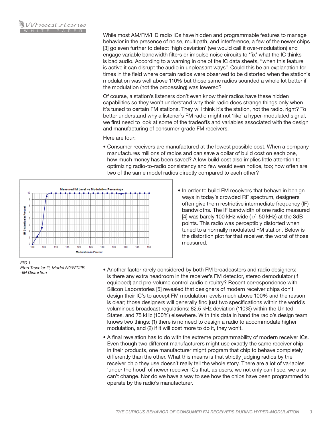

While most AM/FM/HD radio ICs have hidden and programmable features to manage behavior in the presence of noise, multipath, and interference, a few of the newer chips [3] go even further to detect 'high deviation' (we would call it over-modulation) and engage variable bandwidth filters or impulse noise circuits to 'fix' what the IC thinks is bad audio. According to a warning in one of the IC data sheets, "when this feature is active it can disrupt the audio in unpleasant ways". Could this be an explanation for times in the field where certain radios were observed to be distorted when the station's modulation was well above 110% but those same radios sounded a whole lot better if the modulation (not the processing) was lowered?

Of course, a station's listeners don't even know their radios have these hidden capabilities so they won't understand why their radio does strange things only when it's tuned to certain FM stations. They will think it's the station, not the radio, right? To better understand why a listener's FM radio might not 'like' a hyper-modulated signal, we first need to look at some of the tradeoffs and variables associated with the design and manufacturing of consumer-grade FM receivers.

Here are four:

• Consumer receivers are manufactured at the lowest possible cost. When a company manufactures millions of radios and can save a dollar of build cost on each one, how much money has been saved? A low build cost also implies little attention to optimizing radio-to-radio consistency and few would even notice, too; how often are two of the same model radios directly compared to each other?



• In order to build FM receivers that behave in benign ways in today's crowded RF spectrum, designers often give them restrictive intermediate frequency (IF) bandwidths. The IF bandwidth of one radio measured [4] was barely 100 kHz wide  $(+/- 50$  kHz) at the 3dB points. This radio was perceptibly distorted when tuned to a normally modulated FM station. Below is the distortion plot for that receiver, the worst of those measured.

*FIG 1 Eton Traveler Iii, Model NGWTIIIB -IM Distortion*

- Another factor rarely considered by both FM broadcasters and radio designers: is there any extra headroom in the receiver's FM detector, stereo demodulator (if equipped) and pre-volume control audio circuitry? Recent correspondence with Silicon Laboratories [5] revealed that designers of modern receiver chips don't design their IC's to accept FM modulation levels much above 100% and the reason is clear; those designers will generally find just two specifications within the world's voluminous broadcast regulations: 82.5 kHz deviation (110%) within the United States, and 75 kHz (100%) elsewhere. With this data in hand the radio's design team knows two things: (1) there is no need to design a radio to accommodate higher modulation, and (2) if it will cost more to do it, they won't.
- A final revelation has to do with the extreme programmability of modern receiver ICs. Even though two different manufacturers might use exactly the same receiver chip in their products, one manufacturer might program that chip to behave completely differently than the other. What this means is that strictly judging radios by the receiver chip they use doesn't really tell the whole story. There are a lot of variables 'under the hood' of newer receiver ICs that, as users, we not only can't see, we also can't change. Nor do we have a way to see how the chips have been programmed to operate by the radio's manufacturer.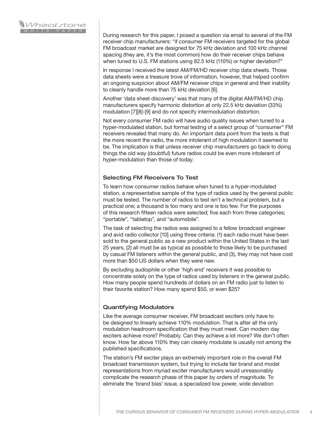

During research for this paper, I posed a question via email to several of the FM receiver chip manufacturers: "if consumer FM receivers targeted for the global FM broadcast market are designed for 75 kHz deviation and 100 kHz channel spacing (they are, it's the most common) how do their receiver chips behave when tuned to U.S. FM stations using 82.5 kHz (110%) or higher deviation?"

In response I received the latest AM/FM/HD receiver chip data sheets. Those data sheets were a treasure trove of information, however, that helped confirm an ongoing suspicion about AM/FM receiver chips in general and their inability to cleanly handle more than 75 kHz deviation [6].

Another 'data sheet discovery' was that many of the digital AM/FM/HD chip manufacturers specify harmonic distortion at only 22.5 kHz deviation (33%) modulation [7][8]-[9] and do not specify intermodulation distortion.

Not every consumer FM radio will have audio quality issues when tuned to a hyper-modulated station, but formal testing of a select group of "consumer" FM receivers revealed that many do. An important data point from the tests is that the more recent the radio, the more intolerant of high modulation it seemed to be. The implication is that unless receiver chip manufacturers go back to doing things the old way (doubtful) future radios could be even more intolerant of hyper-modulation than those of today.

## Selecting FM Receivers To Test

To learn how consumer radios behave when tuned to a hyper-modulated station, a representative sample of the type of radios used by the general public must be tested. The number of radios to test isn't a technical problem, but a practical one; a thousand is too many and one is too few. For the purposes of this research fifteen radios were selected; five each from three categories; "portable", "tabletop", and "automobile".

The task of selecting the radios was assigned to a fellow broadcast engineer and avid radio collector [10] using three criteria: (1) each radio must have been sold to the general public as a new product within the United States in the last 25 years, (2) all must be as typical as possible to those likely to be purchased by casual FM listeners within the general public, and (3), they may not have cost more than \$50 US dollars when they were new.

By excluding audiophile or other 'high end' receivers it was possible to concentrate solely on the type of radios used by listeners in the general public. How many people spend hundreds of dollars on an FM radio just to listen to their favorite station? How many spend \$50, or even \$25?

### Quantifying Modulators

Like the average consumer receiver, FM broadcast exciters only have to be designed to linearly achieve 110% modulation. That is after all the only modulation headroom specification that they must meet. Can modern day exciters achieve more? Probably. Can they achieve a lot more? We don't often know. How far above 110% they can cleanly modulate is usually not among the published specifications.

The station's FM exciter plays an extremely important role in the overall FM broadcast transmission system, but trying to include fair brand and model representations from myriad exciter manufacturers would unreasonably complicate the research phase of this paper by orders of magnitude. To eliminate the 'brand bias' issue, a specialized low power, wide deviation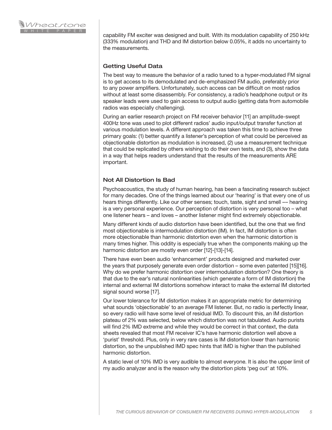

capability FM exciter was designed and built. With its modulation capability of 250 kHz (333% modulation) and THD and IM distortion below 0.05%, it adds no uncertainty to the measurements.

# Getting Useful Data

The best way to measure the behavior of a radio tuned to a hyper-modulated FM signal is to get access to its demodulated and de-emphasized FM audio, preferably prior to any power amplifiers. Unfortunately, such access can be difficult on most radios without at least some disassembly. For consistency, a radio's headphone output or its speaker leads were used to gain access to output audio (getting data from automobile radios was especially challenging).

During an earlier research project on FM receiver behavior [11] an amplitude-swept 400Hz tone was used to plot different radios' audio input/output transfer function at various modulation levels. A different approach was taken this time to achieve three primary goals: (1) better quantify a listener's perception of what could be perceived as objectionable distortion as modulation is increased, (2) use a measurement technique that could be replicated by others wishing to do their own tests, and (3), show the data in a way that helps readers understand that the results of the measurements ARE important.

### Not All Distortion Is Bad

Psychoacoustics, the study of human hearing, has been a fascinating research subject for many decades. One of the things learned about our 'hearing' is that every one of us hears things differently. Like our other senses; touch, taste, sight and smell –– hearing is a very personal experience. Our perception of distortion is very personal too – what one listener hears – and loves – another listener might find extremely objectionable.

Many different kinds of audio distortion have been identified, but the one that we find most objectionable is intermodulation distortion (IM). In fact, IM distortion is often more objectionable than harmonic distortion even when the harmonic distortion is many times higher. This oddity is especially true when the components making up the harmonic distortion are mostly even order [12]-[13]-[14].

There have even been audio 'enhancement' products designed and marketed over the years that purposely generate even order distortion – some even patented [15][16]. Why do we prefer harmonic distortion over intermodulation distortion? One theory is that due to the ear's natural nonlinearities (which generate a form of IM distortion) the internal and external IM distortions somehow interact to make the external IM distorted signal sound worse [17].

Our lower tolerance for IM distortion makes it an appropriate metric for determining what sounds 'objectionable' to an average FM listener. But, no radio is perfectly linear, so every radio will have some level of residual IMD. To discount this, an IM distortion plateau of 2% was selected, below which distortion was not tabulated. Audio purists will find 2% IMD extreme and while they would be correct in that context, the data sheets revealed that most FM receiver IC's have harmonic distortion well above a 'purist' threshold. Plus, only in very rare cases is IM distortion lower than harmonic distortion, so the unpublished IMD spec hints that IMD is higher than the published harmonic distortion.

A static level of 10% IMD is very audible to almost everyone. It is also the upper limit of my audio analyzer and is the reason why the distortion plots 'peg out' at 10%.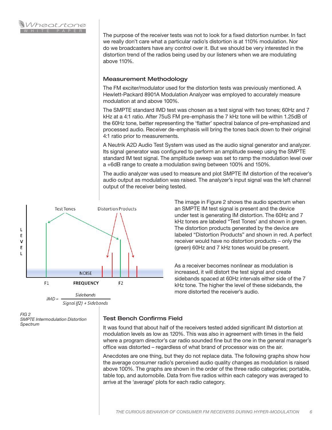

The purpose of the receiver tests was not to look for a fixed distortion number. In fact we really don't care what a particular radio's distortion is at 110% modulation. Nor do we broadcasters have any control over it. But we should be very interested in the distortion trend of the radios being used by our listeners when we are modulating above 110%.

## Measurement Methodology

The FM exciter/modulator used for the distortion tests was previously mentioned. A Hewlett-Packard 8901A Modulation Analyzer was employed to accurately measure modulation at and above 100%.

The SMPTE standard IMD test was chosen as a test signal with two tones; 60Hz and 7 kHz at a 4:1 ratio. After 75uS FM pre-emphasis the 7 kHz tone will be within 1.25dB of the 60Hz tone, better representing the 'flatter' spectral balance of pre-emphasized and processed audio. Receiver de-emphasis will bring the tones back down to their original 4:1 ratio prior to measurements.

A Neutrik A2D Audio Test System was used as the audio signal generator and analyzer. Its signal generator was configured to perform an amplitude sweep using the SMPTE standard IM test signal. The amplitude sweep was set to ramp the modulation level over a +6dB range to create a modulation swing between 100% and 150%.

The audio analyzer was used to measure and plot SMPTE IM distortion of the receiver's audio output as modulation was raised. The analyzer's input signal was the left channel output of the receiver being tested.



an SMPTE IM test signal is present and the device under test is generating IM distortion. The 60Hz and 7 kHz tones are labeled "Test Tones' and shown in green. The distortion products generated by the device are labeled "Distortion Products" and shown in red. A perfect receiver would have no distortion products – only the (green) 60Hz and 7 kHz tones would be present.

The image in Figure 2 shows the audio spectrum when

As a receiver becomes nonlinear as modulation is increased, it will distort the test signal and create sidebands spaced at 60Hz intervals either side of the 7 kHz tone. The higher the level of these sidebands, the more distorted the receiver's audio.

*FIG 2 SMPTE Intermodulation Distortion Spectrum*

# Test Bench Confirms Field

It was found that about half of the receivers tested added significant IM distortion at modulation levels as low as 120%. This was also in agreement with times in the field where a program director's car radio sounded fine but the one in the general manager's office was distorted – regardless of what brand of processor was on the air.

Anecdotes are one thing, but they do not replace data. The following graphs show how the average consumer radio's perceived audio quality changes as modulation is raised above 100%. The graphs are shown in the order of the three radio categories; portable, table top, and automobile. Data from five radios within each category was averaged to arrive at the 'average' plots for each radio category.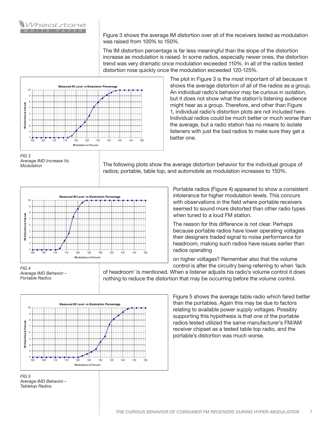

Figure 3 shows the average IM distortion over all of the receivers tested as modulation was raised from 100% to 150%.

The IM distortion percentage is far less meaningful than the slope of the distortion increase as modulation is raised. In some radios, especially newer ones, the distortion trend was very dramatic once modulation exceeded 110%. In all of the radios tested distortion rose quickly once the modulation exceeded 120-125%.



The plot in Figure 3 is the most important of all because it shows the average distortion of all of the radios as a group. An individual radio's behavior may be curious in isolation, but it does not show what the station's listening audience might hear as a group. Therefore, and other than Figure 1, individual radio's distortion plots are not included here. Individual radios could be much better or much worse than the average, but a radio station has no means to isolate listeners with just the bad radios to make sure they get a better one.

The following plots show the average distortion behavior for the individual groups of radios; portable, table top, and automobile as modulation increases to 150%.



Portable radios (Figure 4) appeared to show a consistent intolerance for higher modulation levels. This concurs with observations in the field where portable receivers seemed to sound more distorted than other radio types when tuned to a loud FM station.

The reason for this difference is not clear. Perhaps because portable radios have lower operating voltages their designers traded signal to noise performance for headroom, making such radios have issues earlier than radios operating

on higher voltages? Remember also that the volume control is after the circuitry being referring to when 'lack

of headroom' is mentioned. When a listener adjusts his radio's volume control it does nothing to reduce the distortion that may be occurring before the volume control.





*Average IMD Behavior – Portable Radios*

> Figure 5 shows the average table radio which fared better than the portables. Again this may be due to factors relating to available power supply voltages. Possibly supporting this hypothesis is that one of the portable radios tested utilized the same manufacturer's FM/AM receiver chipset as a tested table top radio, and the portable's distortion was much worse.

*FIG 3 Average IMD Increase Vs. Modulation*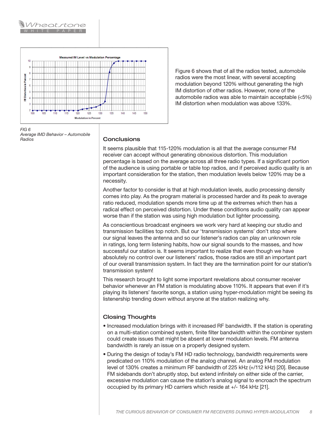



Figure 6 shows that of all the radios tested, automobile radios were the most linear, with several accepting modulation beyond 120% without generating the high IM distortion of other radios. However, none of the automobile radios was able to maintain acceptable (<5%) IM distortion when modulation was above 133%.

*FIG 6 Average IMD Behavior – Automobile Radios*

#### **Conclusions**

It seems plausible that 115-120% modulation is all that the average consumer FM receiver can accept without generating obnoxious distortion. This modulation percentage is based on the average across all three radio types. If a significant portion of the audience is using portable or table top radios, and if perceived audio quality is an important consideration for the station, then modulation levels below 120% may be a necessity.

Another factor to consider is that at high modulation levels, audio processing density comes into play. As the program material is processed harder and its peak to average ratio reduced, modulation spends more time up at the extremes which then has a radical effect on perceived distortion. Under these conditions audio quality can appear worse than if the station was using high modulation but lighter processing.

As conscientious broadcast engineers we work very hard at keeping our studio and transmission facilities top notch. But our 'transmission systems' don't stop where our signal leaves the antenna and so our listener's radios can play an unknown role in ratings, long term listening habits, how our signal sounds to the masses, and how successful our station is. It seems important to realize that even though we have absolutely no control over our listeners' radios, those radios are still an important part of our overall transmission system. In fact they are the termination point for our station's transmission system!

This research brought to light some important revelations about consumer receiver behavior whenever an FM station is modulating above 110%. It appears that even if it's playing its listeners' favorite songs, a station using hyper-modulation might be seeing its listenership trending down without anyone at the station realizing why.

# Closing Thoughts

- Increased modulation brings with it increased RF bandwidth. If the station is operating on a multi-station combined system, finite filter bandwidth within the combiner system could create issues that might be absent at lower modulation levels. FM antenna bandwidth is rarely an issue on a properly designed system.
- During the design of today's FM HD radio technology, bandwidth requirements were predicated on 110% modulation of the analog channel. An analog FM modulation level of 130% creates a minimum RF bandwidth of 225 kHz (+/112 kHz) [20]. Because FM sidebands don't abruptly stop, but extend infinitely on either side of the carrier, excessive modulation can cause the station's analog signal to encroach the spectrum occupied by its primary HD carriers which reside at +/- 164 kHz [21].